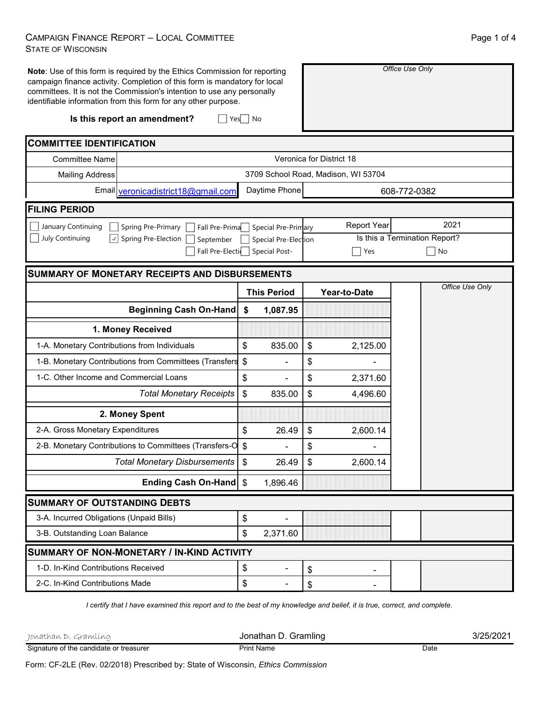## CAMPAIGN FINANCE REPORT – LOCAL COMMITTEE STATE OF WISCONSIN

| Note: Use of this form is required by the Ethics Commission for reporting<br>campaign finance activity. Completion of this form is mandatory for local<br>committees. It is not the Commission's intention to use any personally<br>identifiable information from this form for any other purpose.<br>Is this report an amendment?<br>$Yes \mid No$ | Office Use Only                                         |                                     |                               |  |
|-----------------------------------------------------------------------------------------------------------------------------------------------------------------------------------------------------------------------------------------------------------------------------------------------------------------------------------------------------|---------------------------------------------------------|-------------------------------------|-------------------------------|--|
|                                                                                                                                                                                                                                                                                                                                                     |                                                         |                                     |                               |  |
| <b>COMMITTEE IDENTIFICATION</b>                                                                                                                                                                                                                                                                                                                     |                                                         |                                     |                               |  |
| <b>Committee Name</b>                                                                                                                                                                                                                                                                                                                               |                                                         | Veronica for District 18            |                               |  |
| <b>Mailing Address</b>                                                                                                                                                                                                                                                                                                                              | Daytime Phone                                           | 3709 School Road, Madison, WI 53704 |                               |  |
| Email veronicadistrict18@gmail.com                                                                                                                                                                                                                                                                                                                  |                                                         |                                     | 608-772-0382                  |  |
| <b>FILING PERIOD</b>                                                                                                                                                                                                                                                                                                                                |                                                         |                                     |                               |  |
| January Continuing<br>Fall Pre-Prima<br>Spring Pre-Primary                                                                                                                                                                                                                                                                                          | Special Pre-Primary                                     | <b>Report Year</b>                  | 2021                          |  |
| July Continuing<br>Spring Pre-Election  <br>$ \!\vee\! $<br>September                                                                                                                                                                                                                                                                               | Special Pre-Election<br>Fall Pre-Electics Special Post- |                                     | Is this a Termination Report? |  |
|                                                                                                                                                                                                                                                                                                                                                     |                                                         | Yes                                 | No                            |  |
| <b>SUMMARY OF MONETARY RECEIPTS AND DISBURSEMENTS</b>                                                                                                                                                                                                                                                                                               |                                                         |                                     |                               |  |
|                                                                                                                                                                                                                                                                                                                                                     | <b>This Period</b>                                      | Year-to-Date                        | Office Use Only               |  |
| <b>Beginning Cash On-Hand</b>                                                                                                                                                                                                                                                                                                                       | \$<br>1,087.95                                          |                                     |                               |  |
| 1. Money Received                                                                                                                                                                                                                                                                                                                                   |                                                         |                                     |                               |  |
| 1-A. Monetary Contributions from Individuals                                                                                                                                                                                                                                                                                                        | \$<br>835.00                                            | \$<br>2,125.00                      |                               |  |
| 1-B. Monetary Contributions from Committees (Transfers                                                                                                                                                                                                                                                                                              | $\boldsymbol{\mathsf{S}}$                               | \$                                  |                               |  |
| 1-C. Other Income and Commercial Loans                                                                                                                                                                                                                                                                                                              | \$                                                      | \$<br>2,371.60                      |                               |  |
| <b>Total Monetary Receipts</b>                                                                                                                                                                                                                                                                                                                      | $\boldsymbol{\mathsf{S}}$<br>835.00                     | \$<br>4,496.60                      |                               |  |
| 2. Money Spent                                                                                                                                                                                                                                                                                                                                      |                                                         |                                     |                               |  |
| 2-A. Gross Monetary Expenditures                                                                                                                                                                                                                                                                                                                    | \$<br>26.49                                             | \$<br>2,600.14                      |                               |  |
| 2-B. Monetary Contributions to Committees (Transfers-O                                                                                                                                                                                                                                                                                              | \$                                                      | \$                                  |                               |  |
| <b>Total Monetary Disbursements</b>                                                                                                                                                                                                                                                                                                                 | $\boldsymbol{\mathsf{S}}$<br>26.49                      | \$.<br>2,600.14                     |                               |  |
| Ending Cash On-Hand \$                                                                                                                                                                                                                                                                                                                              | 1,896.46                                                |                                     |                               |  |
| <b>SUMMARY OF OUTSTANDING DEBTS</b>                                                                                                                                                                                                                                                                                                                 |                                                         |                                     |                               |  |
| 3-A. Incurred Obligations (Unpaid Bills)                                                                                                                                                                                                                                                                                                            | \$                                                      |                                     |                               |  |
| 3-B. Outstanding Loan Balance                                                                                                                                                                                                                                                                                                                       | \$<br>2,371.60                                          |                                     |                               |  |
| SUMMARY OF NON-MONETARY / IN-KIND ACTIVITY                                                                                                                                                                                                                                                                                                          |                                                         |                                     |                               |  |
| 1-D. In-Kind Contributions Received                                                                                                                                                                                                                                                                                                                 | \$<br>$\overline{\phantom{0}}$                          | \$                                  |                               |  |
| 2-C. In-Kind Contributions Made                                                                                                                                                                                                                                                                                                                     | \$<br>۰                                                 | \$                                  |                               |  |

*I certify that I have examined this report and to the best of my knowledge and belief, it is true, correct, and complete.*

| Jonathan D. Gramling                    | Jonathan D. Gramling | 3/25/2021 |
|-----------------------------------------|----------------------|-----------|
| Signature of the candidate or treasurer | <b>Print Name</b>    | Date      |

Form: CF-2LE (Rev. 02/2018) Prescribed by: State of Wisconsin, *Ethics Commission*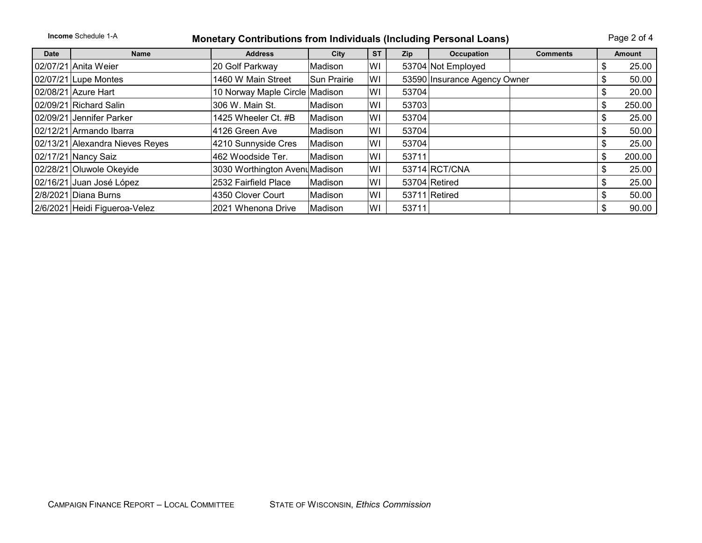| <b>Income</b> Schedule 1-A<br><b>Monetary Contributions from Individuals (Including Personal Loans)</b> |                                 |                                |                    |           |            |                              | Page 2 of 4     |     |        |
|---------------------------------------------------------------------------------------------------------|---------------------------------|--------------------------------|--------------------|-----------|------------|------------------------------|-----------------|-----|--------|
| <b>Date</b>                                                                                             | <b>Name</b>                     | <b>Address</b>                 | City               | <b>ST</b> | <b>Zip</b> | Occupation                   | <b>Comments</b> |     | Amount |
|                                                                                                         | 02/07/21 Anita Weier            | 20 Golf Parkway                | Madison            | WI        |            | 53704 Not Employed           |                 | ზ   | 25.00  |
|                                                                                                         | 02/07/21 Lupe Montes            | 1460 W Main Street             | <b>Sun Prairie</b> | WI        |            | 53590 Insurance Agency Owner |                 |     | 50.00  |
|                                                                                                         | 02/08/21 Azure Hart             | 10 Norway Maple Circle         | Madison            | WI        | 53704      |                              |                 | ъ   | 20.00  |
|                                                                                                         | 02/09/21 Richard Salin          | 306 W. Main St.                | Madison            | WI        | 53703      |                              |                 | S   | 250.00 |
|                                                                                                         | 02/09/21 Jennifer Parker        | 1425 Wheeler Ct. #B            | Madison            | WI        | 53704      |                              |                 | \$  | 25.00  |
|                                                                                                         | 02/12/21 Armando Ibarra         | 4126 Green Ave                 | Madison            | WI        | 53704      |                              |                 | \$  | 50.00  |
|                                                                                                         | 02/13/21 Alexandra Nieves Reyes | 4210 Sunnyside Cres            | Madison            | WI        | 53704      |                              |                 | S   | 25.00  |
|                                                                                                         | 02/17/21 Nancy Saiz             | 462 Woodside Ter.              | Madison            | WI        | 53711      |                              |                 | \$  | 200.00 |
|                                                                                                         | 02/28/21 Oluwole Okeyide        | 3030 Worthington Avenu Madison |                    | WI        |            | 53714 RCT/CNA                |                 | \$. | 25.00  |
|                                                                                                         | 02/16/21 Juan José López        | 2532 Fairfield Place           | Madison            | WI        |            | 53704 Retired                |                 | S   | 25.00  |
|                                                                                                         | 2/8/2021 Diana Burns            | 4350 Clover Court              | Madison            | WI        |            | 53711 Retired                |                 | \$  | 50.00  |
|                                                                                                         | 2/6/2021 Heidi Figueroa-Velez   | 2021 Whenona Drive             | Madison            | WI        | 53711      |                              |                 | \$  | 90.00  |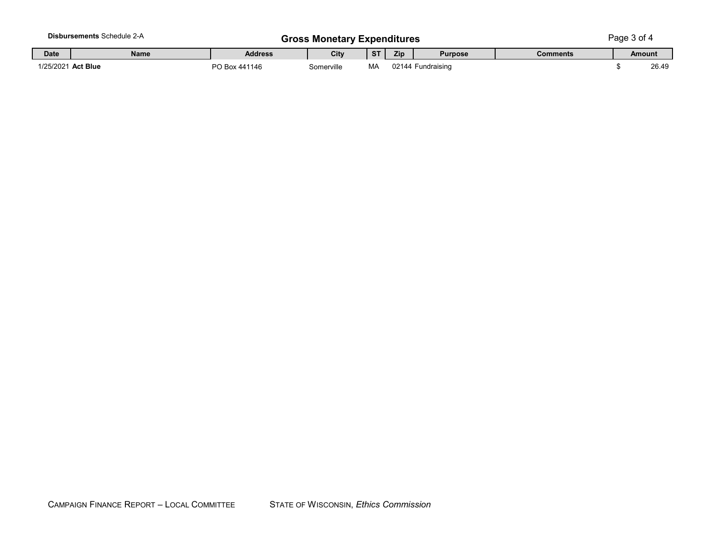|             | <b>Disbursements Schedule 2-A</b> | <b>Gross Monetary Expenditures</b> |            |           |     |                   | Page $3$ of $4$ |  |               |  |
|-------------|-----------------------------------|------------------------------------|------------|-----------|-----|-------------------|-----------------|--|---------------|--|
| <b>Date</b> | Name                              | <b>Address</b>                     | City       | <b>ST</b> | Zip | <b>Purpose</b>    | <b>Comments</b> |  | <b>Amount</b> |  |
|             | 1/25/2021 Act Blue                | PO Box 441146                      | Somerville | MA        |     | 02144 Fundraising |                 |  | 26.49         |  |